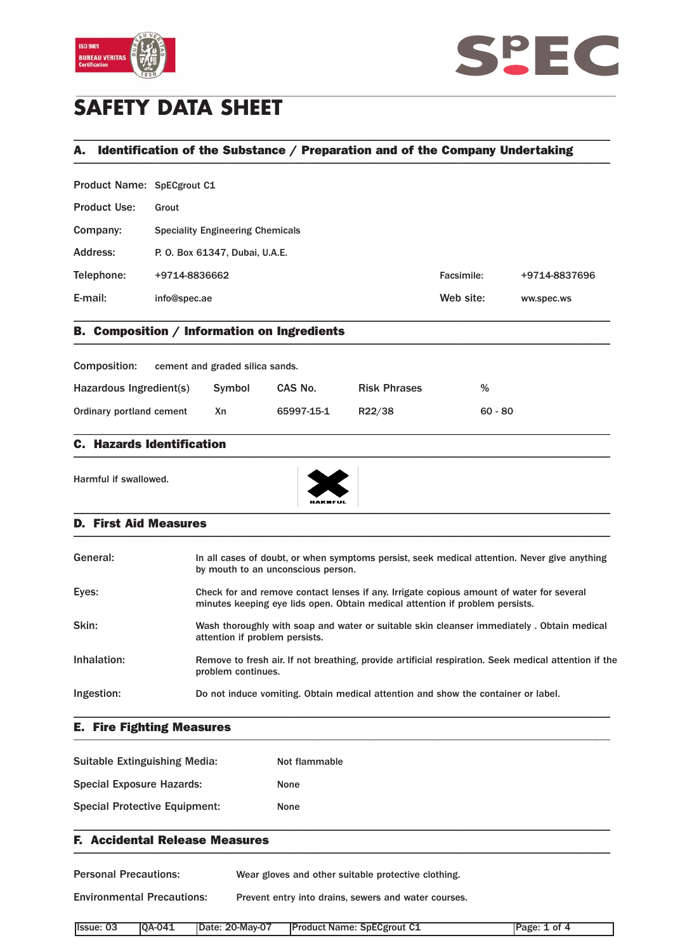



# **SAFETY DATA SHEET**

## A. Identification of the Substance / Preparation and of the Company Undertaking \_\_\_\_\_\_\_\_\_\_\_\_\_\_\_\_\_\_\_\_\_\_\_\_\_\_\_\_\_\_\_\_\_\_\_\_\_\_\_\_\_\_\_\_\_\_\_\_\_\_\_\_\_\_\_\_\_\_\_\_\_\_\_\_\_\_\_\_\_\_\_\_\_\_\_\_\_\_\_\_\_\_\_\_\_\_\_\_\_\_\_\_\_\_\_

\_\_\_\_\_\_\_\_\_\_\_\_\_\_\_\_\_\_\_\_\_\_\_\_\_\_\_\_\_\_\_\_\_\_\_\_\_\_\_\_\_\_\_\_\_\_\_\_\_\_\_\_\_\_\_\_\_\_\_\_\_\_\_\_\_\_\_\_\_\_\_\_\_\_\_\_\_\_\_\_\_\_\_\_\_\_\_\_\_\_\_\_\_\_\_

Product Name: SpECgrout C1

| <b>Product Use:</b> | Grout                                   |            |               |
|---------------------|-----------------------------------------|------------|---------------|
| Company:            | <b>Speciality Engineering Chemicals</b> |            |               |
| Address:            | P. O. Box 61347, Dubai, U.A.E.          |            |               |
| Telephone:          | +9714-8836662                           | Facsimile: | +9714-8837696 |
| E-mail:             | info@spec.ae                            | Web site:  | ww.spec.ws    |
|                     |                                         |            |               |

### B. Composition / Information on Ingredients \_\_\_\_\_\_\_\_\_\_\_\_\_\_\_\_\_\_\_\_\_\_\_\_\_\_\_\_\_\_\_\_\_\_\_\_\_\_\_\_\_\_\_\_\_\_\_\_\_\_\_\_\_\_\_\_\_\_\_\_\_\_\_\_\_\_\_\_\_\_\_\_\_\_\_\_\_\_\_\_\_\_\_\_\_\_\_\_\_\_\_\_\_\_\_

| Composition:             | cement and graded silica sands. |            |                     |           |
|--------------------------|---------------------------------|------------|---------------------|-----------|
| Hazardous Ingredient(s)  | Symbol                          | CAS No.    | <b>Risk Phrases</b> | %         |
| Ordinary portland cement | Χn                              | 65997-15-1 | R22/38              | $60 - 80$ |

\_\_\_\_\_\_\_\_\_\_\_\_\_\_\_\_\_\_\_\_\_\_\_\_\_\_\_\_\_\_\_\_\_\_\_\_\_\_\_\_\_\_\_\_\_\_\_\_\_\_\_\_\_\_\_\_\_\_\_\_\_\_\_\_\_\_\_\_\_\_\_\_\_\_\_\_\_\_\_\_\_\_\_\_\_\_\_\_\_\_\_\_\_\_\_

#### C. Hazards Identification  $\blacksquare$

Harmful if swallowed.



#### D. First Aid Measures \_\_\_\_\_\_\_\_\_\_\_\_\_\_\_\_\_\_\_\_\_\_\_\_\_\_\_\_\_\_\_\_\_\_\_\_\_\_\_\_\_\_\_\_\_\_\_\_\_\_\_\_\_\_\_\_\_\_\_\_\_\_\_\_\_\_\_\_\_\_\_\_\_\_\_\_\_\_\_\_\_\_\_\_\_\_\_\_\_\_\_\_\_\_\_

| General:    | In all cases of doubt, or when symptoms persist, seek medical attention. Never give anything<br>by mouth to an unconscious person.                                       |
|-------------|--------------------------------------------------------------------------------------------------------------------------------------------------------------------------|
| Eyes:       | Check for and remove contact lenses if any. Irrigate copious amount of water for several<br>minutes keeping eye lids open. Obtain medical attention if problem persists. |
| Skin:       | Wash thoroughly with soap and water or suitable skin cleanser immediately. Obtain medical<br>attention if problem persists.                                              |
| Inhalation: | Remove to fresh air. If not breathing, provide artificial respiration. Seek medical attention if the<br>problem continues.                                               |
| Ingestion:  | Do not induce vomiting. Obtain medical attention and show the container or label.                                                                                        |

E. Fire Fighting Measures \_\_\_\_\_\_\_\_\_\_\_\_\_\_\_\_\_\_\_\_\_\_\_\_\_\_\_\_\_\_\_\_\_\_\_\_\_\_\_\_\_\_\_\_\_\_\_\_\_\_\_\_\_\_\_\_\_\_\_\_\_\_\_\_\_\_\_\_\_\_\_\_\_\_\_\_\_\_\_\_\_\_\_\_\_\_\_\_\_\_\_\_\_\_\_

| Suitable Extinguishing Media:        | Not flammable |
|--------------------------------------|---------------|
| <b>Special Exposure Hazards:</b>     | <b>None</b>   |
| <b>Special Protective Equipment:</b> | None          |

#### F. Accidental Release Measures  $\blacksquare$

Personal Precautions: Wear gloves and other suitable protective clothing.

Environmental Precautions: Prevent entry into drains, sewers and water courses.

| Ilssue: 03 | <b>IOA-041</b> | Date: 20-May-07 | <b>Product Name: SpECgrout C1</b> | Page: 1 of 4 |
|------------|----------------|-----------------|-----------------------------------|--------------|

\_\_\_\_\_\_\_\_\_\_\_\_\_\_\_\_\_\_\_\_\_\_\_\_\_\_\_\_\_\_\_\_\_\_\_\_\_\_\_\_\_\_\_\_\_\_\_\_\_\_\_\_\_\_\_\_\_\_\_\_\_\_\_\_\_\_\_\_\_\_\_\_\_\_\_\_\_\_\_\_\_\_\_\_\_\_\_\_\_\_\_\_\_\_\_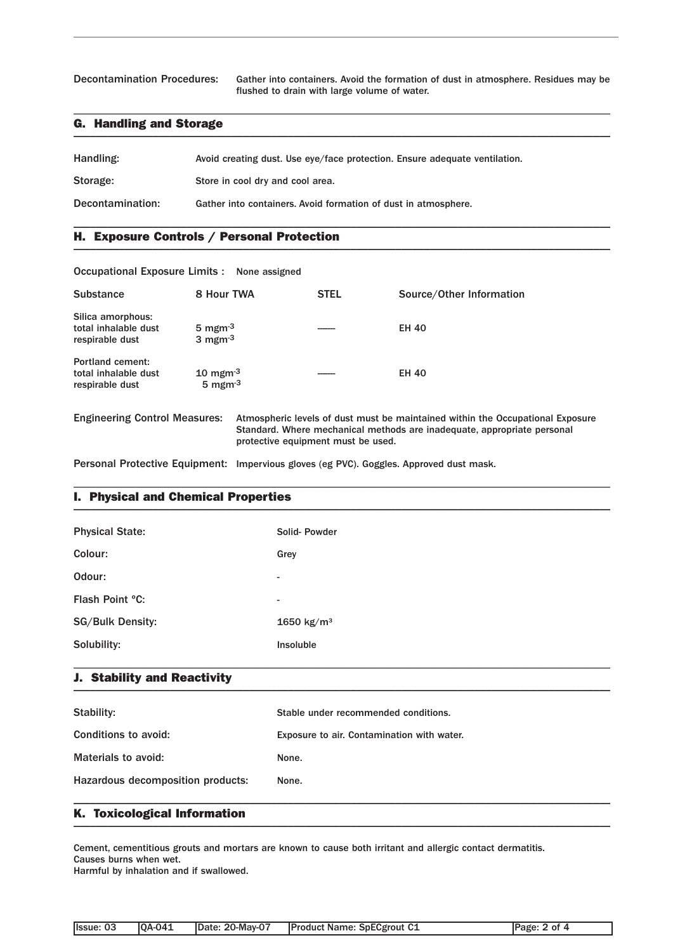Decontamination Procedures: Gather into containers. Avoid the formation of dust in atmosphere. Residues may be flushed to drain with large volume of water.

### G. Handling and Storage \_\_\_\_\_\_\_\_\_\_\_\_\_\_\_\_\_\_\_\_\_\_\_\_\_\_\_\_\_\_\_\_\_\_\_\_\_\_\_\_\_\_\_\_\_\_\_\_\_\_\_\_\_\_\_\_\_\_\_\_\_\_\_\_\_\_\_\_\_\_\_\_\_\_\_\_\_\_\_\_\_\_\_\_\_\_\_\_\_\_\_\_\_\_\_

| Handling:        | Avoid creating dust. Use eye/face protection. Ensure adequate ventilation. |
|------------------|----------------------------------------------------------------------------|
| Storage:         | Store in cool dry and cool area.                                           |
| Decontamination: | Gather into containers. Avoid formation of dust in atmosphere.             |

\_\_\_\_\_\_\_\_\_\_\_\_\_\_\_\_\_\_\_\_\_\_\_\_\_\_\_\_\_\_\_\_\_\_\_\_\_\_\_\_\_\_\_\_\_\_\_\_\_\_\_\_\_\_\_\_\_\_\_\_\_\_\_\_\_\_\_\_\_\_\_\_\_\_\_\_\_\_\_\_\_\_\_\_\_\_\_\_\_\_\_\_\_\_\_

\_\_\_\_\_\_\_\_\_\_\_\_\_\_\_\_\_\_\_\_\_\_\_\_\_\_\_\_\_\_\_\_\_\_\_\_\_\_\_\_\_\_\_\_\_\_\_\_\_\_\_\_\_\_\_\_\_\_\_\_\_\_\_\_\_\_\_\_\_\_\_\_\_\_\_\_\_\_\_\_\_\_\_\_\_\_\_\_\_\_\_\_\_\_\_

### H. Exposure Controls / Personal Protection \_\_\_\_\_\_\_\_\_\_\_\_\_\_\_\_\_\_\_\_\_\_\_\_\_\_\_\_\_\_\_\_\_\_\_\_\_\_\_\_\_\_\_\_\_\_\_\_\_\_\_\_\_\_\_\_\_\_\_\_\_\_\_\_\_\_\_\_\_\_\_\_\_\_\_\_\_\_\_\_\_\_\_\_\_\_\_\_\_\_\_\_\_\_\_

| Occupational Exposure Limits : None assigned                       |                                                                |                                    |                                                                                                                                                           |
|--------------------------------------------------------------------|----------------------------------------------------------------|------------------------------------|-----------------------------------------------------------------------------------------------------------------------------------------------------------|
| <b>Substance</b>                                                   | 8 Hour TWA                                                     | <b>STEL</b>                        | Source/Other Information                                                                                                                                  |
| Silica amorphous:<br>total inhalable dust<br>respirable dust       | 5 mgm $^{-3}$<br>3 mgm $^{-3}$                                 |                                    | <b>EH 40</b>                                                                                                                                              |
| <b>Portland cement:</b><br>total inhalable dust<br>respirable dust | $10 \text{ mgm}$ <sup>-3</sup><br>$5 \text{ mgm}$ <sup>3</sup> |                                    | <b>EH 40</b>                                                                                                                                              |
| <b>Engineering Control Measures:</b>                               |                                                                | protective equipment must be used. | Atmospheric levels of dust must be maintained within the Occupational Exposure<br>Standard. Where mechanical methods are inadequate, appropriate personal |

Personal Protective Equipment: Impervious gloves (eg PVC). Goggles. Approved dust mask.

### I. Physical and Chemical Properties \_\_\_\_\_\_\_\_\_\_\_\_\_\_\_\_\_\_\_\_\_\_\_\_\_\_\_\_\_\_\_\_\_\_\_\_\_\_\_\_\_\_\_\_\_\_\_\_\_\_\_\_\_\_\_\_\_\_\_\_\_\_\_\_\_\_\_\_\_\_\_\_\_\_\_\_\_\_\_\_\_\_\_\_\_\_\_\_\_\_\_\_\_\_\_

| <b>Physical State:</b>  | Solid-Powder             |
|-------------------------|--------------------------|
| Colour:                 | Grey                     |
| Odour:                  | $\overline{\phantom{a}}$ |
| Flash Point °C:         | $\overline{\phantom{a}}$ |
| <b>SG/Bulk Density:</b> | 1650 $kg/m^3$            |
| Solubility:             | Insoluble                |
|                         |                          |

\_\_\_\_\_\_\_\_\_\_\_\_\_\_\_\_\_\_\_\_\_\_\_\_\_\_\_\_\_\_\_\_\_\_\_\_\_\_\_\_\_\_\_\_\_\_\_\_\_\_\_\_\_\_\_\_\_\_\_\_\_\_\_\_\_\_\_\_\_\_\_\_\_\_\_\_\_\_\_\_\_\_\_\_\_\_\_\_\_\_\_\_\_\_\_

#### J. Stability and Reactivity  $\blacksquare$

| Stability:                        | Stable under recommended conditions.       |
|-----------------------------------|--------------------------------------------|
| Conditions to avoid:              | Exposure to air. Contamination with water. |
| Materials to avoid:               | None.                                      |
| Hazardous decomposition products: | None.                                      |
|                                   |                                            |

### K. Toxicological Information \_\_\_\_\_\_\_\_\_\_\_\_\_\_\_\_\_\_\_\_\_\_\_\_\_\_\_\_\_\_\_\_\_\_\_\_\_\_\_\_\_\_\_\_\_\_\_\_\_\_\_\_\_\_\_\_\_\_\_\_\_\_\_\_\_\_\_\_\_\_\_\_\_\_\_\_\_\_\_\_\_\_\_\_\_\_\_\_\_\_\_\_\_\_\_

Cement, cementitious grouts and mortars are known to cause both irritant and allergic contact dermatitis. Causes burns when wet.

Harmful by inhalation and if swallowed.

| llssue: 03 | <b>0A-041</b> | Date: 20-May-07 | <b>Product Name: SpECgrout C1</b> | Page: 2 of 4 |
|------------|---------------|-----------------|-----------------------------------|--------------|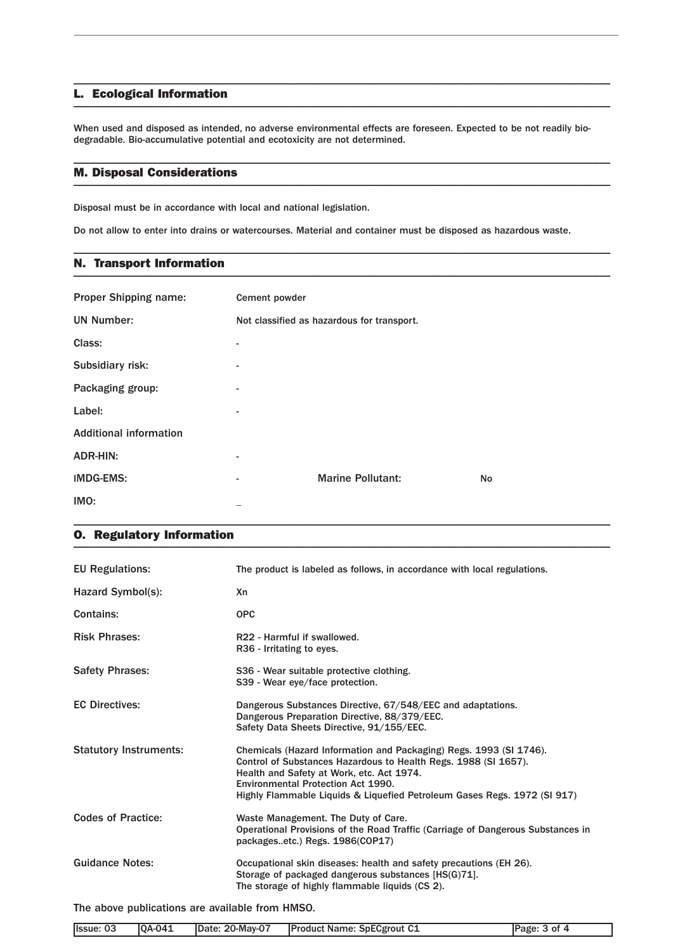#### L. Ecological Information \_\_\_\_\_\_\_\_\_\_\_\_\_\_\_\_\_\_\_\_\_\_\_\_\_\_\_\_\_\_\_\_\_\_\_\_\_\_\_\_\_\_\_\_\_\_\_\_\_\_\_\_\_\_\_\_\_\_\_\_\_\_\_\_\_\_\_\_\_\_\_\_\_\_\_\_\_\_\_\_\_\_\_\_\_\_\_\_\_\_\_\_\_\_\_

When used and disposed as intended, no adverse environmental effects are foreseen. Expected to be not readily biodegradable. Bio-accumulative potential and ecotoxicity are not determined.

\_\_\_\_\_\_\_\_\_\_\_\_\_\_\_\_\_\_\_\_\_\_\_\_\_\_\_\_\_\_\_\_\_\_\_\_\_\_\_\_\_\_\_\_\_\_\_\_\_\_\_\_\_\_\_\_\_\_\_\_\_\_\_\_\_\_\_\_\_\_\_\_\_\_\_\_\_\_\_\_\_\_\_\_\_\_\_\_\_\_\_\_\_\_\_

\_\_\_\_\_\_\_\_\_\_\_\_\_\_\_\_\_\_\_\_\_\_\_\_\_\_\_\_\_\_\_\_\_\_\_\_\_\_\_\_\_\_\_\_\_\_\_\_\_\_\_\_\_\_\_\_\_\_\_\_\_\_\_\_\_\_\_\_\_\_\_\_\_\_\_\_\_\_\_\_\_\_\_\_\_\_\_\_\_\_\_\_\_\_\_

\_\_\_\_\_\_\_\_\_\_\_\_\_\_\_\_\_\_\_\_\_\_\_\_\_\_\_\_\_\_\_\_\_\_\_\_\_\_\_\_\_\_\_\_\_\_\_\_\_\_\_\_\_\_\_\_\_\_\_\_\_\_\_\_\_\_\_\_\_\_\_\_\_\_\_\_\_\_\_\_\_\_\_\_\_\_\_\_\_\_\_\_\_\_\_

#### M. Disposal Considerations \_\_\_\_\_\_\_\_\_\_\_\_\_\_\_\_\_\_\_\_\_\_\_\_\_\_\_\_\_\_\_\_\_\_\_\_\_\_\_\_\_\_\_\_\_\_\_\_\_\_\_\_\_\_\_\_\_\_\_\_\_\_\_\_\_\_\_\_\_\_\_\_\_\_\_\_\_\_\_\_\_\_\_\_\_\_\_\_\_\_\_\_\_\_\_

Disposal must be in accordance with local and national legislation.

Do not allow to enter into drains or watercourses. Material and container must be disposed as hazardous waste.

### N. Transport Information \_\_\_\_\_\_\_\_\_\_\_\_\_\_\_\_\_\_\_\_\_\_\_\_\_\_\_\_\_\_\_\_\_\_\_\_\_\_\_\_\_\_\_\_\_\_\_\_\_\_\_\_\_\_\_\_\_\_\_\_\_\_\_\_\_\_\_\_\_\_\_\_\_\_\_\_\_\_\_\_\_\_\_\_\_\_\_\_\_\_\_\_\_\_\_

| <b>Proper Shipping name:</b>  | Cement powder            |                                            |    |
|-------------------------------|--------------------------|--------------------------------------------|----|
| <b>UN Number:</b>             |                          | Not classified as hazardous for transport. |    |
| Class:                        |                          |                                            |    |
| Subsidiary risk:              | $\overline{\phantom{a}}$ |                                            |    |
| Packaging group:              | $\overline{a}$           |                                            |    |
| Label:                        | ۰.                       |                                            |    |
| <b>Additional information</b> |                          |                                            |    |
| <b>ADR-HIN:</b>               | $\overline{a}$           |                                            |    |
| <b>IMDG-EMS:</b>              | -                        | <b>Marine Pollutant:</b>                   | No |
| IMO:                          |                          |                                            |    |

\_\_\_\_\_\_\_\_\_\_\_\_\_\_\_\_\_\_\_\_\_\_\_\_\_\_\_\_\_\_\_\_\_\_\_\_\_\_\_\_\_\_\_\_\_\_\_\_\_\_\_\_\_\_\_\_\_\_\_\_\_\_\_\_\_\_\_\_\_\_\_\_\_\_\_\_\_\_\_\_\_\_\_\_\_\_\_\_\_\_\_\_\_\_\_

### O. Regulatory Information \_\_\_\_\_\_\_\_\_\_\_\_\_\_\_\_\_\_\_\_\_\_\_\_\_\_\_\_\_\_\_\_\_\_\_\_\_\_\_\_\_\_\_\_\_\_\_\_\_\_\_\_\_\_\_\_\_\_\_\_\_\_\_\_\_\_\_\_\_\_\_\_\_\_\_\_\_\_\_\_\_\_\_\_\_\_\_\_\_\_\_\_\_\_\_

| <b>EU Regulations:</b>        | The product is labeled as follows, in accordance with local regulations.                                                                                                                                                                                                                             |
|-------------------------------|------------------------------------------------------------------------------------------------------------------------------------------------------------------------------------------------------------------------------------------------------------------------------------------------------|
| Hazard Symbol(s):             | Xn                                                                                                                                                                                                                                                                                                   |
| Contains:                     | <b>OPC</b>                                                                                                                                                                                                                                                                                           |
| <b>Risk Phrases:</b>          | R22 - Harmful if swallowed.<br>R36 - Irritating to eyes.                                                                                                                                                                                                                                             |
| <b>Safety Phrases:</b>        | S36 - Wear suitable protective clothing.<br>S39 - Wear eye/face protection.                                                                                                                                                                                                                          |
| <b>EC Directives:</b>         | Dangerous Substances Directive, 67/548/EEC and adaptations.<br>Dangerous Preparation Directive, 88/379/EEC.<br>Safety Data Sheets Directive, 91/155/EEC.                                                                                                                                             |
| <b>Statutory Instruments:</b> | Chemicals (Hazard Information and Packaging) Regs. 1993 (SI 1746).<br>Control of Substances Hazardous to Health Regs. 1988 (SI 1657).<br>Health and Safety at Work, etc. Act 1974.<br>Environmental Protection Act 1990.<br>Highly Flammable Liquids & Liquefied Petroleum Gases Regs. 1972 (SI 917) |
| <b>Codes of Practice:</b>     | Waste Management. The Duty of Care.<br>Operational Provisions of the Road Traffic (Carriage of Dangerous Substances in<br>packagesetc.) Regs. 1986(COP17)                                                                                                                                            |
| <b>Guidance Notes:</b>        | Occupational skin diseases: health and safety precautions (EH 26).<br>Storage of packaged dangerous substances [HS(G)71].<br>The storage of highly flammable liquids (CS 2).                                                                                                                         |

The above publications are available from HMSO.

| Ilssue: 03 | <b>IOA-041</b> | Date: 20-May-07 | <b>Product Name: SpECgrout C1</b> | Page: 3 of 4 |
|------------|----------------|-----------------|-----------------------------------|--------------|
|            |                |                 |                                   |              |